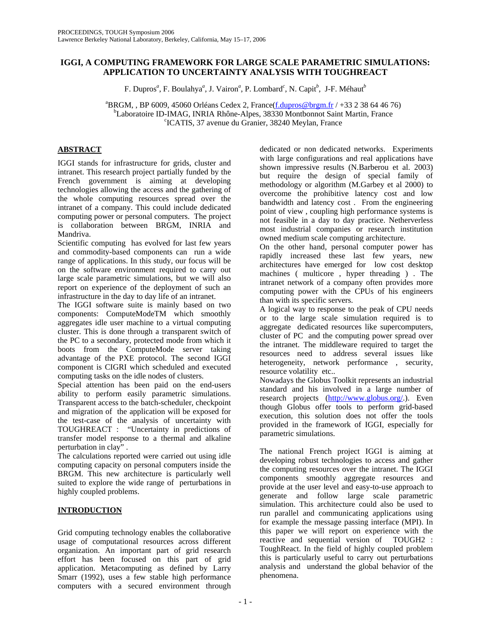# **IGGI, A COMPUTING FRAMEWORK FOR LARGE SCALE PARAMETRIC SIMULATIONS: APPLICATION TO UNCERTAINTY ANALYSIS WITH TOUGHREACT**

F. Dupros<sup>*a*</sup>, F. Boulahya<sup>*a*</sup>, J. Vairon<sup>*a*</sup>, P. Lombard<sup>*c*</sup>, N. Capit<sup>*b*</sup>, J-F. Méhaut<sup>*b*</sup>

 ${}^{a}$ BRGM, , BP 6009, 45060 Orléans Cedex 2, France( $\underline{f}_c$ dupros@brgm.fr / +33 2 38 64 46 76)<br><sup>b</sup>I eberatoire ID BAAG, BBLA Bhône Alpes, 38330 Montbonnet Seint Mertin, France <sup>b</sup>Laboratoire ID-IMAG, INRIA Rhône-Alpes, 38330 Montbonnot Saint Martin, France <sup>c</sup>ICATIS, 37 avenue du Granier, 38240 Meylan, France

# **ABSTRACT**

IGGI stands for infrastructure for grids, cluster and intranet. This research project partially funded by the French government is aiming at developing technologies allowing the access and the gathering of the whole computing resources spread over the intranet of a company. This could include dedicated computing power or personal computers. The project is collaboration between BRGM, INRIA and Mandriva.

Scientific computing has evolved for last few years and commodity-based components can run a wide range of applications. In this study, our focus will be on the software environment required to carry out large scale parametric simulations, but we will also report on experience of the deployment of such an infrastructure in the day to day life of an intranet.

The IGGI software suite is mainly based on two components: ComputeModeTM which smoothly aggregates idle user machine to a virtual computing cluster. This is done through a transparent switch of the PC to a secondary, protected mode from which it boots from the ComputeMode server taking advantage of the PXE protocol. The second IGGI component is CIGRI which scheduled and executed computing tasks on the idle nodes of clusters.

Special attention has been paid on the end-users ability to perform easily parametric simulations. Transparent access to the batch-scheduler, checkpoint and migration of the application will be exposed for the test-case of the analysis of uncertainty with TOUGHREACT : "Uncertainty in predictions of transfer model response to a thermal and alkaline perturbation in clay" .

The calculations reported were carried out using idle computing capacity on personal computers inside the BRGM. This new architecture is particularly well suited to explore the wide range of perturbations in highly coupled problems.

# **INTRODUCTION**

Grid computing technology enables the collaborative usage of computational resources across different organization. An important part of grid research effort has been focused on this part of grid application. Metacomputing as defined by Larry Smarr (1992), uses a few stable high performance computers with a secured environment through

dedicated or non dedicated networks. Experiments with large configurations and real applications have shown impressive results (N.Barberou et al. 2003) but require the design of special family of methodology or algorithm (M.Garbey et al 2000) to overcome the prohibitive latency cost and low bandwidth and latency cost . From the engineering point of view , coupling high performance systems is not feasible in a day to day practice. Netherverless most industrial companies or research institution owned medium scale computing architecture.

On the other hand, personal computer power has rapidly increased these last few years, new architectures have emerged for low cost desktop machines ( multicore , hyper threading ) . The intranet network of a company often provides more computing power with the CPUs of his engineers than with its specific servers.

A logical way to response to the peak of CPU needs or to the large scale simulation required is to aggregate dedicated resources like supercomputers, cluster of PC and the computing power spread over the intranet. The middleware required to target the resources need to address several issues like heterogeneity, network performance, security, resource volatility etc..

Nowadays the Globus Toolkit represents an industrial standard and his involved in a large number of research projects (http://www.globus.org/.). Even though Globus offer tools to perform grid-based execution, this solution does not offer the tools provided in the framework of IGGI, especially for parametric simulations.

The national French project IGGI is aiming at developing robust technologies to access and gather the computing resources over the intranet. The IGGI components smoothly aggregate resources and provide at the user level and easy-to-use approach to generate and follow large scale parametric simulation. This architecture could also be used to run parallel and communicating applications using for example the message passing interface (MPI). In this paper we will report on experience with the reactive and sequential version of TOUGH2 : ToughReact. In the field of highly coupled problem this is particularly useful to carry out perturbations analysis and understand the global behavior of the phenomena.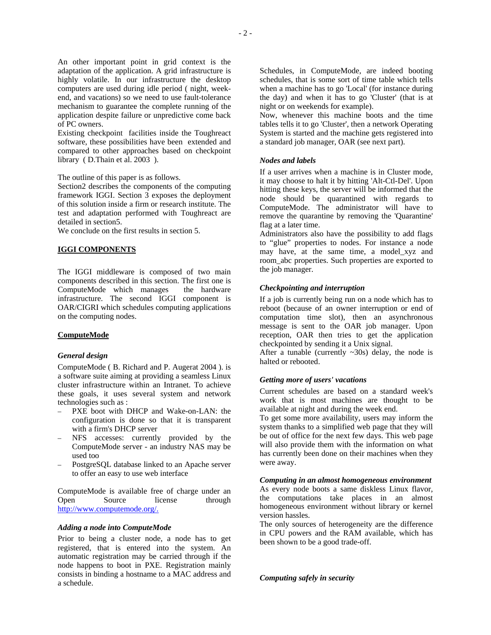An other important point in grid context is the adaptation of the application. A grid infrastructure is highly volatile. In our infrastructure the desktop computers are used during idle period ( night, weekend, and vacations) so we need to use fault-tolerance mechanism to guarantee the complete running of the application despite failure or unpredictive come back of PC owners.

Existing checkpoint facilities inside the Toughreact software, these possibilities have been extended and compared to other approaches based on checkpoint library ( D.Thain et al. 2003 ).

The outline of this paper is as follows.

Section2 describes the components of the computing framework IGGI. Section 3 exposes the deployment of this solution inside a firm or research institute. The test and adaptation performed with Toughreact are detailed in section5.

We conclude on the first results in section 5.

### **IGGI COMPONENTS**

The IGGI middleware is composed of two main components described in this section. The first one is ComputeMode which manages the hardware infrastructure. The second IGGI component is OAR/CIGRI which schedules computing applications on the computing nodes.

# **ComputeMode**

#### *General design*

ComputeMode ( B. Richard and P. Augerat 2004 ). is a software suite aiming at providing a seamless Linux cluster infrastructure within an Intranet. To achieve these goals, it uses several system and network technologies such as :

- PXE boot with DHCP and Wake-on-LAN: the configuration is done so that it is transparent with a firm's DHCP server
- NFS accesses: currently provided by the ComputeMode server - an industry NAS may be used too
- PostgreSQL database linked to an Apache server to offer an easy to use web interface

ComputeMode is available free of charge under an Open Source license through http://www.computemode.org/.

#### *Adding a node into ComputeMode*

Prior to being a cluster node, a node has to get registered, that is entered into the system. An automatic registration may be carried through if the node happens to boot in PXE. Registration mainly consists in binding a hostname to a MAC address and a schedule.

Schedules, in ComputeMode, are indeed booting schedules, that is some sort of time table which tells when a machine has to go 'Local' (for instance during the day) and when it has to go 'Cluster' (that is at night or on weekends for example).

Now, whenever this machine boots and the time tables tells it to go 'Cluster', then a network Operating System is started and the machine gets registered into a standard job manager, OAR (see next part).

### *Nodes and labels*

If a user arrives when a machine is in Cluster mode, it may choose to halt it by hitting 'Alt-Ctl-Del'. Upon hitting these keys, the server will be informed that the node should be quarantined with regards to ComputeMode. The administrator will have to remove the quarantine by removing the 'Quarantine' flag at a later time.

Administrators also have the possibility to add flags to "glue" properties to nodes. For instance a node may have, at the same time, a model\_xyz and room\_abc properties. Such properties are exported to the job manager.

### *Checkpointing and interruption*

If a job is currently being run on a node which has to reboot (because of an owner interruption or end of computation time slot), then an asynchronous message is sent to the OAR job manager. Upon reception, OAR then tries to get the application checkpointed by sending it a Unix signal.

After a tunable (currently  $\sim$ 30s) delay, the node is halted or rebooted.

## *Getting more of users' vacations*

Current schedules are based on a standard week's work that is most machines are thought to be available at night and during the week end.

To get some more availability, users may inform the system thanks to a simplified web page that they will be out of office for the next few days. This web page will also provide them with the information on what has currently been done on their machines when they were away.

# *Computing in an almost homogeneous environment*

As every node boots a same diskless Linux flavor, the computations take places in an almost homogeneous environment without library or kernel version hassles.

The only sources of heterogeneity are the difference in CPU powers and the RAM available, which has been shown to be a good trade-off.

### *Computing safely in security*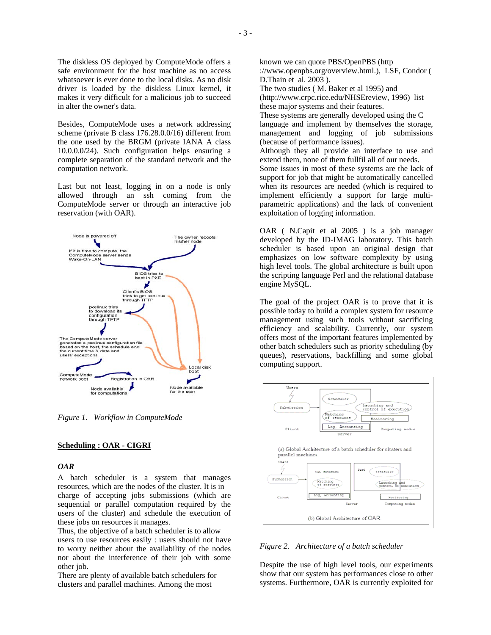The diskless OS deployed by ComputeMode offers a safe environment for the host machine as no access whatsoever is ever done to the local disks. As no disk driver is loaded by the diskless Linux kernel, it makes it very difficult for a malicious job to succeed in alter the owner's data.

Besides, ComputeMode uses a network addressing scheme (private B class 176.28.0.0/16) different from the one used by the BRGM (private IANA A class 10.0.0.0/24). Such configuration helps ensuring a complete separation of the standard network and the computation network.

Last but not least, logging in on a node is only allowed through an ssh coming from the ComputeMode server or through an interactive job reservation (with OAR).



*Figure 1. Workflow in ComputeMode* 

## **Scheduling : OAR - CIGRI**

### *OAR*

A batch scheduler is a system that manages resources, which are the nodes of the cluster. It is in charge of accepting jobs submissions (which are sequential or parallel computation required by the users of the cluster) and schedule the execution of these jobs on resources it manages.

Thus, the objective of a batch scheduler is to allow users to use resources easily : users should not have to worry neither about the availability of the nodes nor about the interference of their job with some other job.

There are plenty of available batch schedulers for clusters and parallel machines. Among the most

known we can quote PBS/OpenPBS (http ://www.openpbs.org/overview.html.), LSF, Condor ( D.Thain et al. 2003 ).

The two studies ( M. Baker et al 1995) and (http://www.crpc.rice.edu/NHSEreview, 1996) list these major systems and their features.

These systems are generally developed using the C language and implement by themselves the storage, management and logging of job submissions (because of performance issues).

Although they all provide an interface to use and extend them, none of them fullfil all of our needs.

Some issues in most of these systems are the lack of support for job that might be automatically cancelled when its resources are needed (which is required to implement efficiently a support for large multiparametric applications) and the lack of convenient exploitation of logging information.

OAR ( N.Capit et al 2005 ) is a job manager developed by the ID-IMAG laboratory. This batch scheduler is based upon an original design that emphasizes on low software complexity by using high level tools. The global architecture is built upon the scripting language Perl and the relational database engine MySQL.

The goal of the project OAR is to prove that it is possible today to build a complex system for resource management using such tools without sacrificing efficiency and scalability. Currently, our system offers most of the important features implemented by other batch schedulers such as priority scheduling (by queues), reservations, backfilling and some global computing support.



*Figure 2. Architecture of a batch scheduler* 

Despite the use of high level tools, our experiments show that our system has performances close to other systems. Furthermore, OAR is currently exploited for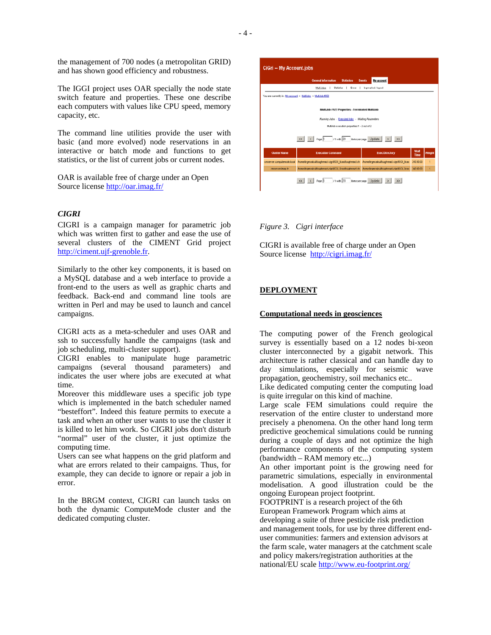the management of 700 nodes (a metropolitan GRID) and has shown good efficiency and robustness.

The IGGI project uses OAR specially the node state switch feature and properties. These one describe each computers with values like CPU speed, memory capacity, etc.

The command line utilities provide the user with basic (and more evolved) node reservations in an interactive or batch mode and functions to get statistics, or the list of current jobs or current nodes.

OAR is available free of charge under an Open Source license http://oar.imag.fr/

## *CIGRI*

CIGRI is a campaign manager for parametric job which was written first to gather and ease the use of several clusters of the CIMENT Grid project http://ciment.ujf-grenoble.fr.

Similarly to the other key components, it is based on a MySQL database and a web interface to provide a front-end to the users as well as graphic charts and feedback. Back-end and command line tools are written in Perl and may be used to launch and cancel campaigns.

CIGRI acts as a meta-scheduler and uses OAR and ssh to successfully handle the campaigns (task and job scheduling, multi-cluster support).

CIGRI enables to manipulate huge parametric campaigns (several thousand parameters) and indicates the user where jobs are executed at what time.

Moreover this middleware uses a specific job type which is implemented in the batch scheduler named "besteffort". Indeed this feature permits to execute a task and when an other user wants to use the cluster it is killed to let him work. So CIGRI jobs don't disturb "normal" user of the cluster, it just optimize the computing time.

Users can see what happens on the grid platform and what are errors related to their campaigns. Thus, for example, they can decide to ignore or repair a job in error.

In the BRGM context, CIGRI can launch tasks on both the dynamic ComputeMode cluster and the dedicated computing cluster.



### *Figure 3. Cigri interface*

CIGRI is available free of charge under an Open Source license http://cigri.imag.fr/

# **DEPLOYMENT**

# **Computational needs in geosciences**

The computing power of the French geological survey is essentially based on a 12 nodes bi-xeon cluster interconnected by a gigabit network. This architecture is rather classical and can handle day to day simulations, especially for seismic wave propagation, geochemistry, soil mechanics etc..

Like dedicated computing center the computing load is quite irregular on this kind of machine.

Large scale FEM simulations could require the reservation of the entire cluster to understand more precisely a phenomena. On the other hand long term predictive geochemical simulations could be running during a couple of days and not optimize the high performance components of the computing system (bandwidth – RAM memory etc...)

An other important point is the growing need for parametric simulations, especially in environmental modelisation. A good illustration could be the ongoing European project footprint.

FOOTPRINT is a research project of the 6th European Framework Program which aims at developing a suite of three pesticide risk prediction and management tools, for use by three different enduser communities: farmers and extension advisors at the farm scale, water managers at the catchment scale and policy makers/registration authorities at the national/EU scale http://www.eu-footprint.org/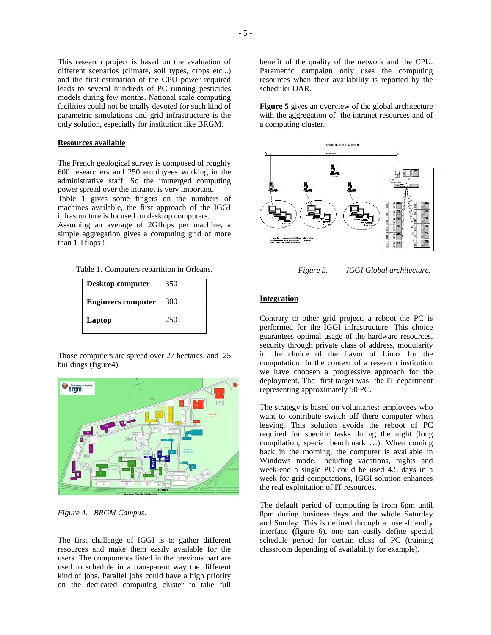This research project is based on the evaluation of different scenarios (climate, soil types, crops etc...) and the first estimation of the CPU power required leads to several hundreds of PC running pesticides models during few months. National scale computing facilities could not be totally devoted for such kind of parametric simulations and grid infrastructure is the only solution, especially for institution like BRGM.

### **Resources available**

The French geological survey is composed of roughly 600 researchers and 250 employees working in the administrative staff. So the immerged computing power spread over the intranet is very important.

Table 1 gives some fingers on the numbers of machines available, the first approach of the IGGI infrastructure is focused on desktop computers.

Assuming an average of 2Gflops per machine, a simple aggregation gives a computing grid of more than 1 Tflops !

| Table 1. Computers repartition in Orleans. |  |  |  |  |  |
|--------------------------------------------|--|--|--|--|--|
|--------------------------------------------|--|--|--|--|--|

| Desktop computer          | 350 |
|---------------------------|-----|
| <b>Engineers computer</b> | 300 |
| Laptop                    | 250 |

Those computers are spread over 27 hectares, and 25 buildings (figure4)



*Figure 4. BRGM Campus.* 

The first challenge of IGGI is to gather different resources and make them easily available for the users. The components listed in the previous part are used to schedule in a transparent way the different kind of jobs. Parallel jobs could have a high priority on the dedicated computing cluster to take full

benefit of the quality of the network and the CPU. Parametric campaign only uses the computing resources when their availability is reported by the scheduler OAR.

**Figure 5** gives an overview of the global architecture with the aggregation of the intranet resources and of a computing cluster.



 *Figure 5. IGGI Global architecture.* 

#### **Integration**

Contrary to other grid project, a reboot the PC is performed for the IGGI infrastructure. This choice guarantees optimal usage of the hardware resources, security through private class of address, modularity in the choice of the flavor of Linux for the computation. In the context of a research institution we have choosen a progressive approach for the deployment. The first target was the IT department representing approximately 50 PC.

The strategy is based on voluntaries: employees who want to contribute switch off there computer when leaving. This solution avoids the reboot of PC required for specific tasks during the night (long compilation, special benchmark …). When coming back in the morning, the computer is available in Windows mode. Including vacations, nights and week-end a single PC could be used 4.5 days in a week for grid computations, IGGI solution enhances the real exploitation of IT resources.

The default period of computing is from 6pm until 8pm during business days and the whole Saturday and Sunday. This is defined through a user-friendly interface **(**figure 6), one can easily define special schedule period for certain class of PC (training classroom depending of availability for example).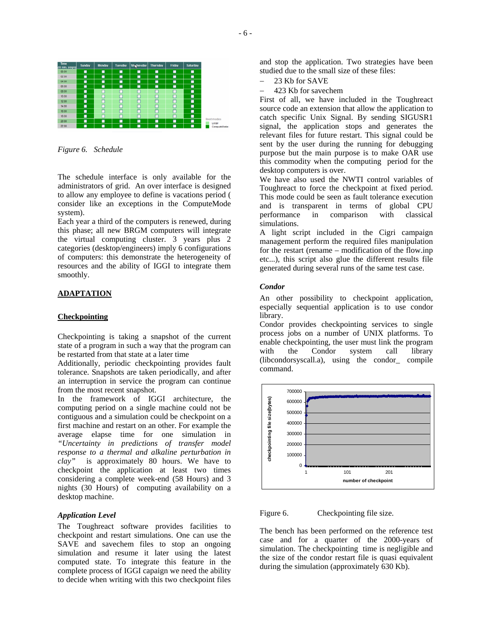

*Figure 6. Schedule* 

The schedule interface is only available for the administrators of grid. An over interface is designed to allow any employee to define is vacations period ( consider like an exceptions in the ComputeMode system).

Each year a third of the computers is renewed, during this phase; all new BRGM computers will integrate the virtual computing cluster. 3 years plus 2 categories (desktop/engineers) imply 6 configurations of computers: this demonstrate the heterogeneity of resources and the ability of IGGI to integrate them smoothly.

# **ADAPTATION**

### **Checkpointing**

Checkpointing is taking a snapshot of the current state of a program in such a way that the program can be restarted from that state at a later time

Additionally, periodic checkpointing provides fault tolerance. Snapshots are taken periodically, and after an interruption in service the program can continue from the most recent snapshot.

In the framework of IGGI architecture, the computing period on a single machine could not be contiguous and a simulation could be checkpoint on a first machine and restart on an other. For example the average elapse time for one simulation in *"Uncertainty in predictions of transfer model response to a thermal and alkaline perturbation in clay"* is approximately 80 hours. We have to checkpoint the application at least two times considering a complete week-end (58 Hours) and 3 nights (30 Hours) of computing availability on a desktop machine.

## *Application Level*

The Toughreact software provides facilities to checkpoint and restart simulations. One can use the SAVE and savechem files to stop an ongoing simulation and resume it later using the latest computed state. To integrate this feature in the complete process of IGGI capaign we need the ability to decide when writing with this two checkpoint files

and stop the application. Two strategies have been studied due to the small size of these files:

- 23 Kb for SAVE
- − 423 Kb for savechem

First of all, we have included in the Toughreact source code an extension that allow the application to catch specific Unix Signal. By sending SIGUSR1 signal, the application stops and generates the relevant files for future restart. This signal could be sent by the user during the running for debugging purpose but the main purpose is to make OAR use this commodity when the computing period for the desktop computers is over.

We have also used the NWTI control variables of Toughreact to force the checkpoint at fixed period. This mode could be seen as fault tolerance execution and is transparent in terms of global CPU performance in comparison with classical simulations.

A light script included in the Cigri campaign management perform the required files manipulation for the restart (rename – modification of the flow.inp etc...), this script also glue the different results file generated during several runs of the same test case.

### *Condor*

An other possibility to checkpoint application, especially sequential application is to use condor library.

Condor provides checkpointing services to single process jobs on a number of UNIX platforms. To enable checkpointing, the user must link the program with the Condor system call library (libcondorsyscall.a), using the condor\_ compile command.



Figure 6. Checkpointing file size.

The bench has been performed on the reference test case and for a quarter of the 2000-years of simulation. The checkpointing time is negligible and the size of the condor restart file is quasi equivalent during the simulation (approximately 630 Kb).